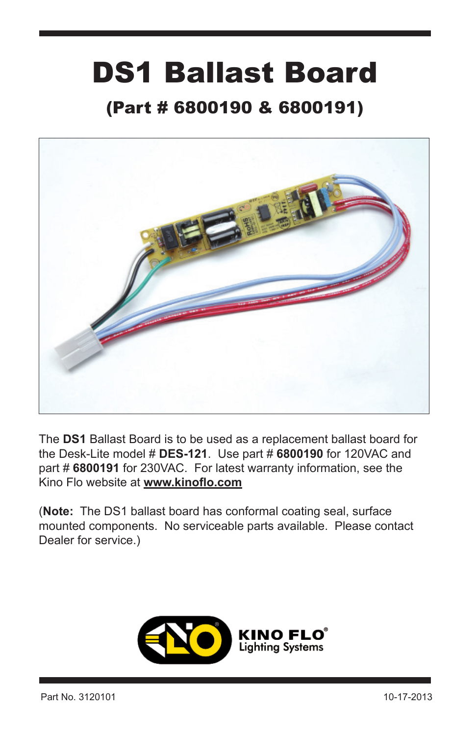## DS1 Ballast Board

## (Part # 6800190 & 6800191)



The **DS1** Ballast Board is to be used as a replacement ballast board for the Desk-Lite model # **DES-121**. Use part # **6800190** for 120VAC and part # **6800191** for 230VAC. For latest warranty information, see the Kino Flo website at **www.kinoflo.com**

(**Note:** The DS1 ballast board has conformal coating seal, surface mounted components. No serviceable parts available. Please contact Dealer for service.)